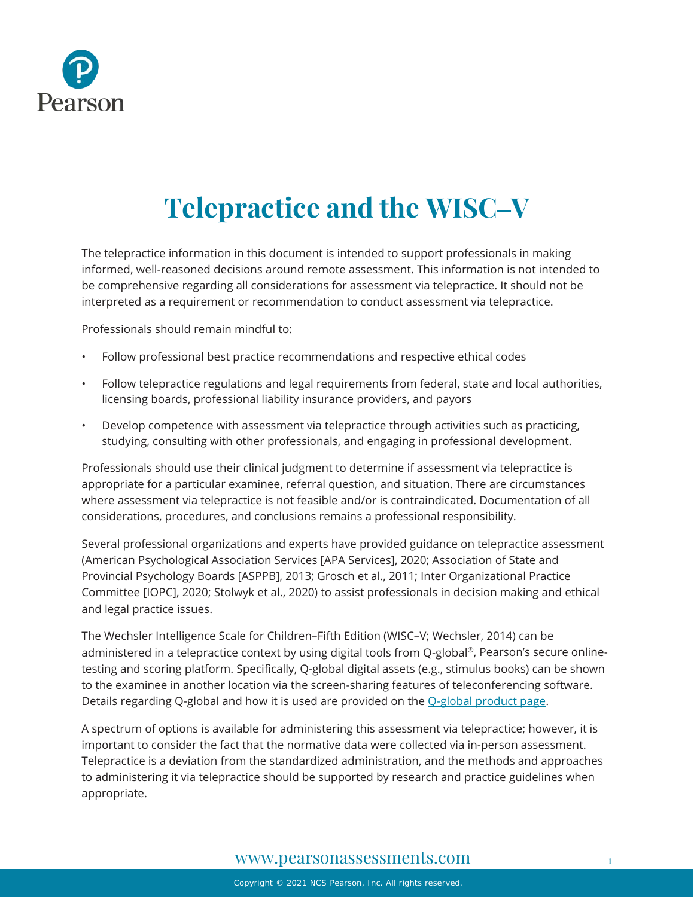

# **Telepractice and the WISC–V**

The telepractice information in this document is intended to support professionals in making informed, well-reasoned decisions around remote assessment. This information is not intended to be comprehensive regarding all considerations for assessment via telepractice. It should not be interpreted as a requirement or recommendation to conduct assessment via telepractice.

Professionals should remain mindful to:

- Follow professional best practice recommendations and respective ethical codes
- Follow telepractice regulations and legal requirements from federal, state and local authorities, licensing boards, professional liability insurance providers, and payors
- Develop competence with assessment via telepractice through activities such as practicing, studying, consulting with other professionals, and engaging in professional development.

Professionals should use their clinical judgment to determine if assessment via telepractice is appropriate for a particular examinee, referral question, and situation. There are circumstances where assessment via telepractice is not feasible and/or is contraindicated. Documentation of all considerations, procedures, and conclusions remains a professional responsibility.

Several professional organizations and experts have provided guidance on telepractice assessment (American Psychological Association Services [APA Services], 2020; Association of State and Provincial Psychology Boards [ASPPB], 2013; Grosch et al., 2011; Inter Organizational Practice Committee [IOPC], 2020; Stolwyk et al., 2020) to assist professionals in decision making and ethical and legal practice issues.

The Wechsler Intelligence Scale for Children–Fifth Edition (WISC–V; Wechsler, 2014) can be administered in a telepractice context by using digital tools from Q-global ®, Pearson's secure onlinetesting and scoring platform. Specifically, Q-global digital assets (e.g., stimulus books) can be shown to the examinee in another location via the screen-sharing features of teleconferencing software. Details regarding Q-global and how it is used are provided on the [Q-global product page.](https://www.pearsonassessments.com/professional-assessments/digital-solutions/q-global/about.html)

A spectrum of options is available for administering this assessment via telepractice; however, it is important to consider the fact that the normative data were collected via in-person assessment. Telepractice is a deviation from the standardized administration, and the methods and approaches to administering it via telepractice should be supported by research and practice guidelines when appropriate.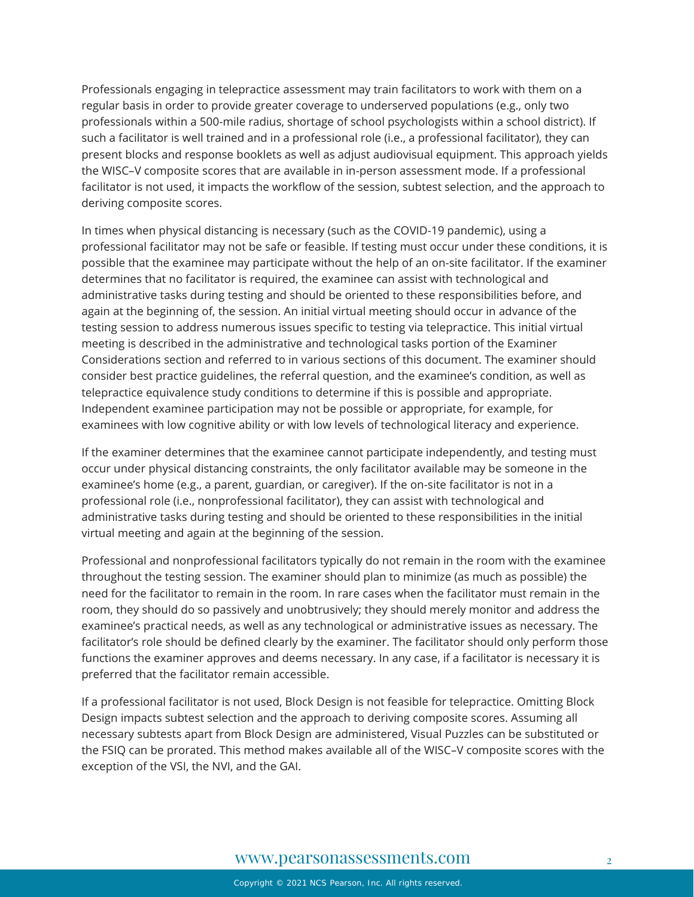Professionals engaging in telepractice assessment may train facilitators to work with them on a regular basis in order to provide greater coverage to underserved populations (e.g., only two professionals within a 500-mile radius, shortage of school psychologists within a school district). If such a facilitator is well trained and in a professional role (i.e., a professional facilitator), they can present blocks and response booklets as well as adjust audiovisual equipment. This approach yields the WISC–V composite scores that are available in in-person assessment mode. If a professional facilitator is not used, it impacts the workflow of the session, subtest selection, and the approach to deriving composite scores.

In times when physical distancing is necessary (such as the COVID-19 pandemic), using a professional facilitator may not be safe or feasible. If testing must occur under these conditions, it is possible that the examinee may participate without the help of an on-site facilitator. If the examiner determines that no facilitator is required, the examinee can assist with technological and administrative tasks during testing and should be oriented to these responsibilities before, and again at the beginning of, the session. An initial virtual meeting should occur in advance of the testing session to address numerous issues specific to testing via telepractice. This initial virtual meeting is described in the administrative and technological tasks portion of the Examiner Considerations section and referred to in various sections of this document. The examiner should consider best practice guidelines, the referral question, and the examinee's condition, as well as telepractice equivalence study conditions to determine if this is possible and appropriate. Independent examinee participation may not be possible or appropriate, for example, for examinees with low cognitive ability or with low levels of technological literacy and experience.

If the examiner determines that the examinee cannot participate independently, and testing must occur under physical distancing constraints, the only facilitator available may be someone in the examinee's home (e.g., a parent, guardian, or caregiver). If the on-site facilitator is not in a professional role (i.e., nonprofessional facilitator), they can assist with technological and administrative tasks during testing and should be oriented to these responsibilities in the initial virtual meeting and again at the beginning of the session.

Professional and nonprofessional facilitators typically do not remain in the room with the examinee throughout the testing session. The examiner should plan to minimize (as much as possible) the need for the facilitator to remain in the room. In rare cases when the facilitator must remain in the room, they should do so passively and unobtrusively; they should merely monitor and address the examinee's practical needs, as well as any technological or administrative issues as necessary. The facilitator's role should be defined clearly by the examiner. The facilitator should only perform those functions the examiner approves and deems necessary. In any case, if a facilitator is necessary it is preferred that the facilitator remain accessible.

If a professional facilitator is not used, Block Design is not feasible for telepractice. Omitting Block Design impacts subtest selection and the approach to deriving composite scores. Assuming all necessary subtests apart from Block Design are administered, Visual Puzzles can be substituted or the FSIQ can be prorated. This method makes available all of the WISC–V composite scores with the exception of the VSI, the NVI, and the GAI.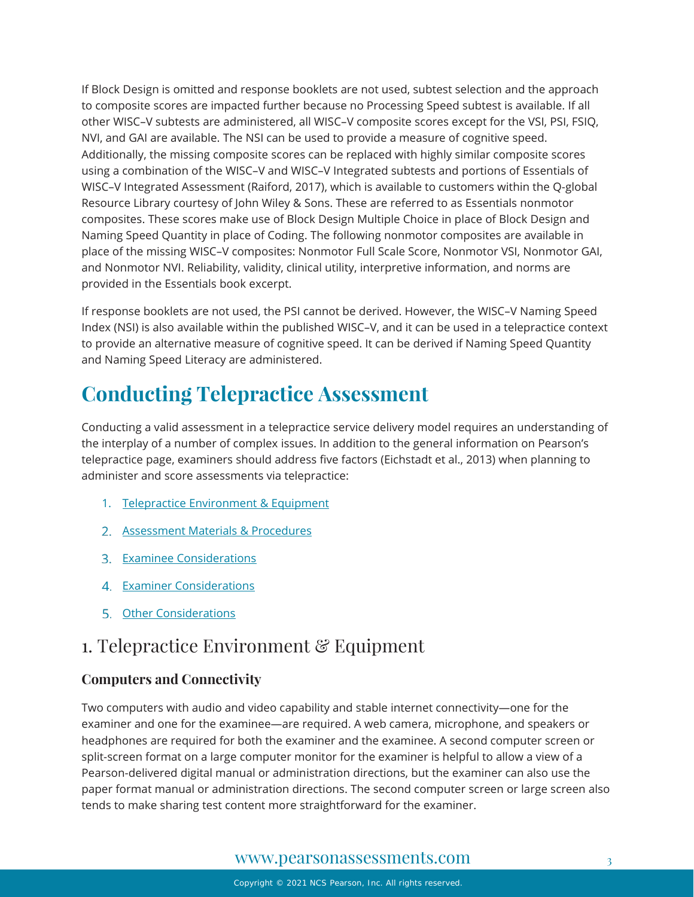If Block Design is omitted and response booklets are not used, subtest selection and the approach to composite scores are impacted further because no Processing Speed subtest is available. If all other WISC–V subtests are administered, all WISC–V composite scores except for the VSI, PSI, FSIQ, NVI, and GAI are available. The NSI can be used to provide a measure of cognitive speed. Additionally, the missing composite scores can be replaced with highly similar composite scores using a combination of the WISC–V and WISC–V Integrated subtests and portions of Essentials of WISC–V Integrated Assessment (Raiford, 2017), which is available to customers within the Q-global Resource Library courtesy of John Wiley & Sons. These are referred to as Essentials nonmotor composites. These scores make use of Block Design Multiple Choice in place of Block Design and Naming Speed Quantity in place of Coding. The following nonmotor composites are available in place of the missing WISC–V composites: Nonmotor Full Scale Score, Nonmotor VSI, Nonmotor GAI, and Nonmotor NVI. Reliability, validity, clinical utility, interpretive information, and norms are provided in the Essentials book excerpt.

If response booklets are not used, the PSI cannot be derived. However, the WISC–V Naming Speed Index (NSI) is also available within the published WISC–V, and it can be used in a telepractice context to provide an alternative measure of cognitive speed. It can be derived if Naming Speed Quantity and Naming Speed Literacy are administered.

# **Conducting Telepractice Assessment**

Conducting a valid assessment in a telepractice service delivery model requires an understanding of the interplay of a number of complex issues. In addition to the general information on Pearson's telepractice page, examiners should address five factors (Eichstadt et al., 2013) when planning to administer and score assessments via telepractice:

- 1. [Telepractice Environment & Equipment](#page-2-0)
- 2. [Assessment Materials & Procedures](#page-5-0)
- **3.** [Examinee Considerations](#page-11-0)
- 4. [Examiner Considerations](#page-12-0)
- 5. [Other Considerations](#page-13-0)

# <span id="page-2-0"></span>1. Telepractice Environment & Equipment

### **Computers and Connectivity**

Two computers with audio and video capability and stable internet connectivity—one for the examiner and one for the examinee—are required. A web camera, microphone, and speakers or headphones are required for both the examiner and the examinee. A second computer screen or split-screen format on a large computer monitor for the examiner is helpful to allow a view of a Pearson-delivered digital manual or administration directions, but the examiner can also use the paper format manual or administration directions. The second computer screen or large screen also tends to make sharing test content more straightforward for the examiner.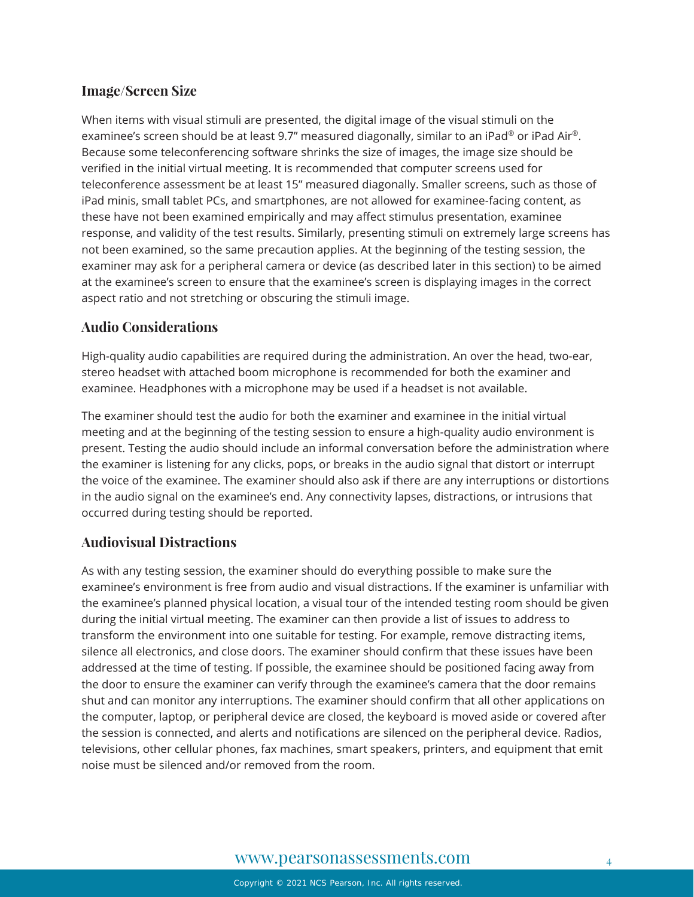### **Image/Screen Size**

When items with visual stimuli are presented, the digital image of the visual stimuli on the examinee's screen should be at least 9.7" measured diagonally, similar to an iPad® or iPad Air®. Because some teleconferencing software shrinks the size of images, the image size should be verified in the initial virtual meeting. It is recommended that computer screens used for teleconference assessment be at least 15" measured diagonally. Smaller screens, such as those of iPad minis, small tablet PCs, and smartphones, are not allowed for examinee-facing content, as these have not been examined empirically and may affect stimulus presentation, examinee response, and validity of the test results. Similarly, presenting stimuli on extremely large screens has not been examined, so the same precaution applies. At the beginning of the testing session, the examiner may ask for a peripheral camera or device (as described later in this section) to be aimed at the examinee's screen to ensure that the examinee's screen is displaying images in the correct aspect ratio and not stretching or obscuring the stimuli image.

### **Audio Considerations**

High-quality audio capabilities are required during the administration. An over the head, two-ear, stereo headset with attached boom microphone is recommended for both the examiner and examinee. Headphones with a microphone may be used if a headset is not available.

The examiner should test the audio for both the examiner and examinee in the initial virtual meeting and at the beginning of the testing session to ensure a high-quality audio environment is present. Testing the audio should include an informal conversation before the administration where the examiner is listening for any clicks, pops, or breaks in the audio signal that distort or interrupt the voice of the examinee. The examiner should also ask if there are any interruptions or distortions in the audio signal on the examinee's end. Any connectivity lapses, distractions, or intrusions that occurred during testing should be reported.

### **Audiovisual Distractions**

As with any testing session, the examiner should do everything possible to make sure the examinee's environment is free from audio and visual distractions. If the examiner is unfamiliar with the examinee's planned physical location, a visual tour of the intended testing room should be given during the initial virtual meeting. The examiner can then provide a list of issues to address to transform the environment into one suitable for testing. For example, remove distracting items, silence all electronics, and close doors. The examiner should confirm that these issues have been addressed at the time of testing. If possible, the examinee should be positioned facing away from the door to ensure the examiner can verify through the examinee's camera that the door remains shut and can monitor any interruptions. The examiner should confirm that all other applications on the computer, laptop, or peripheral device are closed, the keyboard is moved aside or covered after the session is connected, and alerts and notifications are silenced on the peripheral device. Radios, televisions, other cellular phones, fax machines, smart speakers, printers, and equipment that emit noise must be silenced and/or removed from the room.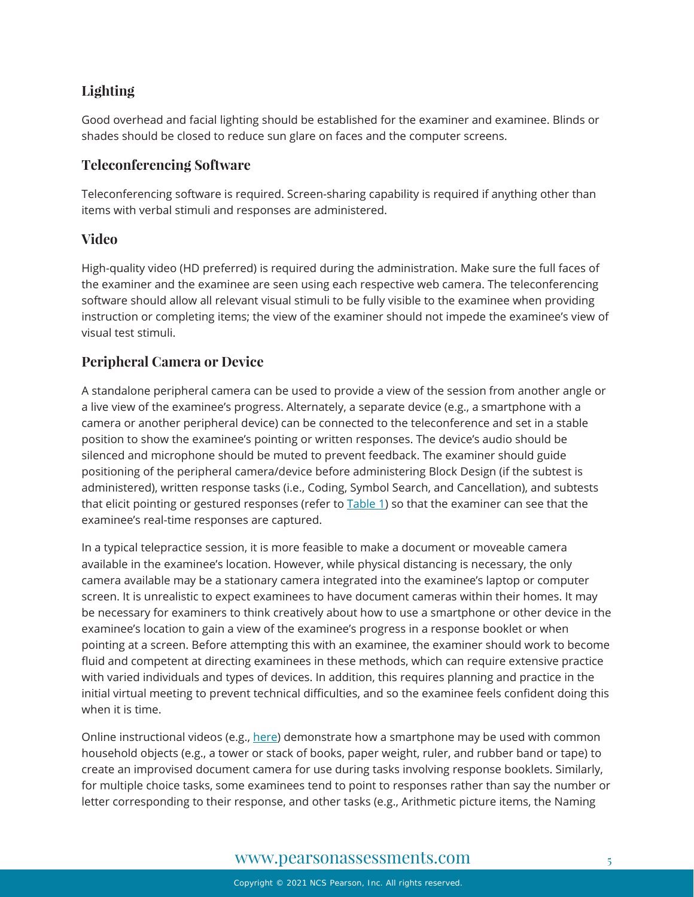### **Lighting**

Good overhead and facial lighting should be established for the examiner and examinee. Blinds or shades should be closed to reduce sun glare on faces and the computer screens.

### **Teleconferencing Software**

Teleconferencing software is required. Screen-sharing capability is required if anything other than items with verbal stimuli and responses are administered.

### **Video**

High-quality video (HD preferred) is required during the administration. Make sure the full faces of the examiner and the examinee are seen using each respective web camera. The teleconferencing software should allow all relevant visual stimuli to be fully visible to the examinee when providing instruction or completing items; the view of the examiner should not impede the examinee's view of visual test stimuli.

### **Peripheral Camera or Device**

A standalone peripheral camera can be used to provide a view of the session from another angle or a live view of the examinee's progress. Alternately, a separate device (e.g., a smartphone with a camera or another peripheral device) can be connected to the teleconference and set in a stable position to show the examinee's pointing or written responses. The device's audio should be silenced and microphone should be muted to prevent feedback. The examiner should guide positioning of the peripheral camera/device before administering Block Design (if the subtest is administered), written response tasks (i.e., Coding, Symbol Search, and Cancellation), and subtests that elicit pointing or gestured responses (refer to [Table 1\)](#page-7-0) so that the examiner can see that the examinee's real-time responses are captured.

In a typical telepractice session, it is more feasible to make a document or moveable camera available in the examinee's location. However, while physical distancing is necessary, the only camera available may be a stationary camera integrated into the examinee's laptop or computer screen. It is unrealistic to expect examinees to have document cameras within their homes. It may be necessary for examiners to think creatively about how to use a smartphone or other device in the examinee's location to gain a view of the examinee's progress in a response booklet or when pointing at a screen. Before attempting this with an examinee, the examiner should work to become fluid and competent at directing examinees in these methods, which can require extensive practice with varied individuals and types of devices. In addition, this requires planning and practice in the initial virtual meeting to prevent technical difficulties, and so the examinee feels confident doing this when it is time.

Online instructional videos (e.g., [here\)](https://www.youtube.com/watch?v=yuhY0rjqQw0) demonstrate how a smartphone may be used with common household objects (e.g., a tower or stack of books, paper weight, ruler, and rubber band or tape) to create an improvised document camera for use during tasks involving response booklets. Similarly, for multiple choice tasks, some examinees tend to point to responses rather than say the number or letter corresponding to their response, and other tasks (e.g., Arithmetic picture items, the Naming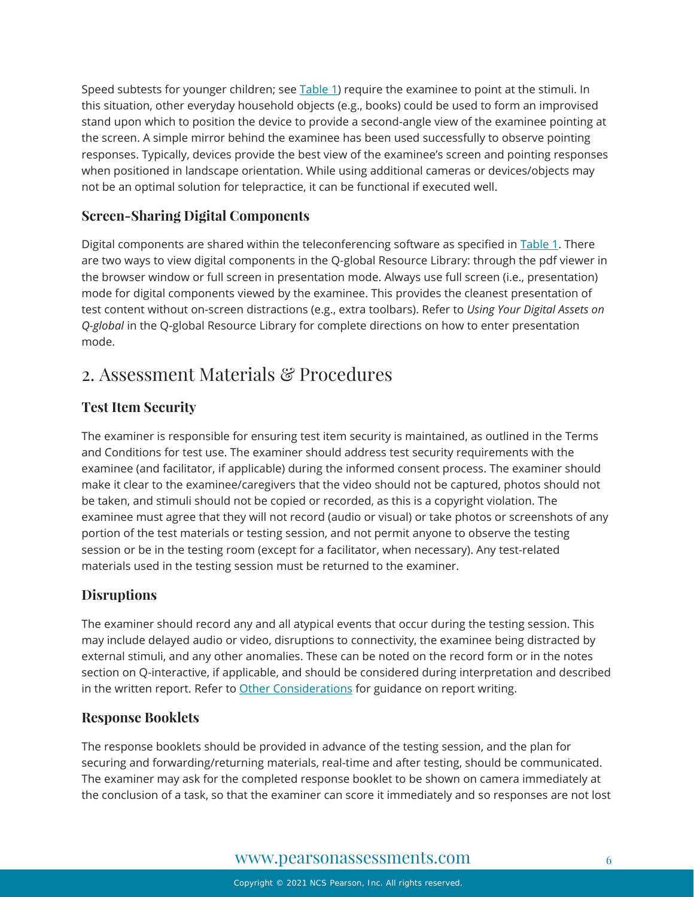Speed subtests for younger children; see [Table 1\)](#page-7-0) require the examinee to point at the stimuli. In this situation, other everyday household objects (e.g., books) could be used to form an improvised stand upon which to position the device to provide a second-angle view of the examinee pointing at the screen. A simple mirror behind the examinee has been used successfully to observe pointing responses. Typically, devices provide the best view of the examinee's screen and pointing responses when positioned in landscape orientation. While using additional cameras or devices/objects may not be an optimal solution for telepractice, it can be functional if executed well.

### **Screen-Sharing Digital Components**

Digital components are shared within the teleconferencing software as specified in [Table 1.](#page-7-0) There are two ways to view digital components in the Q-global Resource Library: through the pdf viewer in the browser window or full screen in presentation mode. Always use full screen (i.e., presentation) mode for digital components viewed by the examinee. This provides the cleanest presentation of test content without on-screen distractions (e.g., extra toolbars). Refer to *Using Your Digital Assets on Q-global* in the Q-global Resource Library for complete directions on how to enter presentation mode.

## <span id="page-5-0"></span>2. Assessment Materials & Procedures

### **Test Item Security**

The examiner is responsible for ensuring test item security is maintained, as outlined in the Terms and Conditions for test use. The examiner should address test security requirements with the examinee (and facilitator, if applicable) during the informed consent process. The examiner should make it clear to the examinee/caregivers that the video should not be captured, photos should not be taken, and stimuli should not be copied or recorded, as this is a copyright violation. The examinee must agree that they will not record (audio or visual) or take photos or screenshots of any portion of the test materials or testing session, and not permit anyone to observe the testing session or be in the testing room (except for a facilitator, when necessary). Any test-related materials used in the testing session must be returned to the examiner.

### **Disruptions**

The examiner should record any and all atypical events that occur during the testing session. This may include delayed audio or video, disruptions to connectivity, the examinee being distracted by external stimuli, and any other anomalies. These can be noted on the record form or in the notes section on Q-interactive, if applicable, and should be considered during interpretation and described in the written report. Refer to [Other Considerations](#page-13-0) for guidance on report writing.

### **Response Booklets**

The response booklets should be provided in advance of the testing session, and the plan for securing and forwarding/returning materials, real-time and after testing, should be communicated. The examiner may ask for the completed response booklet to be shown on camera immediately at the conclusion of a task, so that the examiner can score it immediately and so responses are not lost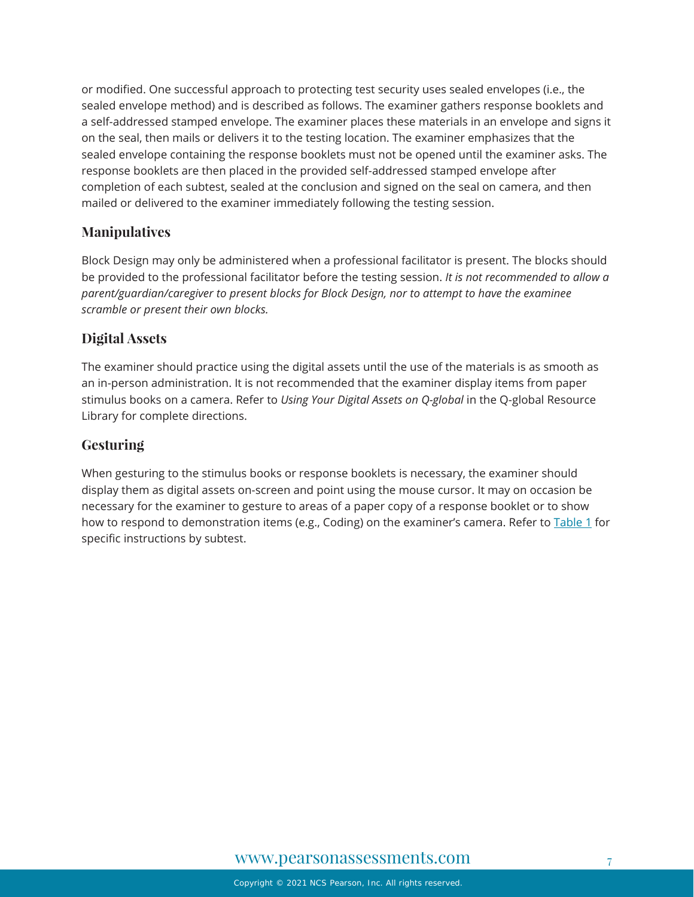or modified. One successful approach to protecting test security uses sealed envelopes (i.e., the sealed envelope method) and is described as follows. The examiner gathers response booklets and a self-addressed stamped envelope. The examiner places these materials in an envelope and signs it on the seal, then mails or delivers it to the testing location. The examiner emphasizes that the sealed envelope containing the response booklets must not be opened until the examiner asks. The response booklets are then placed in the provided self-addressed stamped envelope after completion of each subtest, sealed at the conclusion and signed on the seal on camera, and then mailed or delivered to the examiner immediately following the testing session.

### **Manipulatives**

Block Design may only be administered when a professional facilitator is present. The blocks should be provided to the professional facilitator before the testing session. *It is not recommended to allow a parent/guardian/caregiver to present blocks for Block Design, nor to attempt to have the examinee scramble or present their own blocks.*

### **Digital Assets**

The examiner should practice using the digital assets until the use of the materials is as smooth as an in-person administration. It is not recommended that the examiner display items from paper stimulus books on a camera. Refer to *Using Your Digital Assets on Q-global* in the Q-global Resource Library for complete directions.

### **Gesturing**

When gesturing to the stimulus books or response booklets is necessary, the examiner should display them as digital assets on-screen and point using the mouse cursor. It may on occasion be necessary for the examiner to gesture to areas of a paper copy of a response booklet or to show how to respond to demonstration items (e.g., Coding) on the examiner's camera. Refer to [Table 1](#page-7-0) for specific instructions by subtest.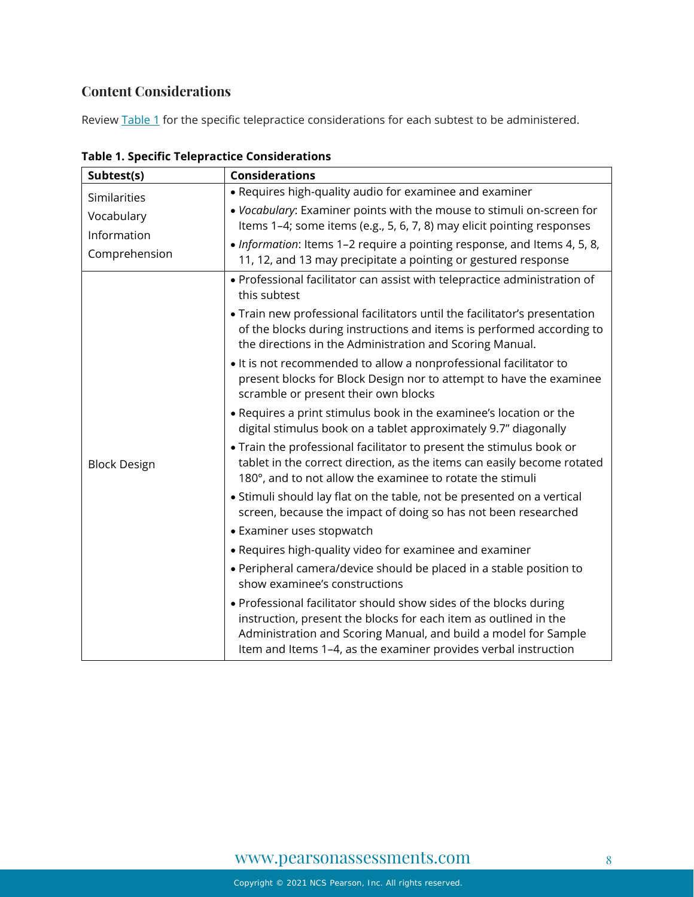### **Content Considerations**

Review [Table 1](#page-7-0) for the specific telepractice considerations for each subtest to be administered.

| Subtest(s)                   | <b>Considerations</b>                                                                                                                                                                                                                                                       |  |
|------------------------------|-----------------------------------------------------------------------------------------------------------------------------------------------------------------------------------------------------------------------------------------------------------------------------|--|
| Similarities                 | • Requires high-quality audio for examinee and examiner                                                                                                                                                                                                                     |  |
| Vocabulary                   | . Vocabulary: Examiner points with the mouse to stimuli on-screen for<br>Items 1-4; some items (e.g., 5, 6, 7, 8) may elicit pointing responses                                                                                                                             |  |
| Information<br>Comprehension | • Information: Items 1-2 require a pointing response, and Items 4, 5, 8,<br>11, 12, and 13 may precipitate a pointing or gestured response                                                                                                                                  |  |
| <b>Block Design</b>          | • Professional facilitator can assist with telepractice administration of<br>this subtest                                                                                                                                                                                   |  |
|                              | . Train new professional facilitators until the facilitator's presentation<br>of the blocks during instructions and items is performed according to<br>the directions in the Administration and Scoring Manual.                                                             |  |
|                              | • It is not recommended to allow a nonprofessional facilitator to<br>present blocks for Block Design nor to attempt to have the examinee<br>scramble or present their own blocks                                                                                            |  |
|                              | . Requires a print stimulus book in the examinee's location or the<br>digital stimulus book on a tablet approximately 9.7" diagonally                                                                                                                                       |  |
|                              | . Train the professional facilitator to present the stimulus book or<br>tablet in the correct direction, as the items can easily become rotated<br>180°, and to not allow the examinee to rotate the stimuli                                                                |  |
|                              | • Stimuli should lay flat on the table, not be presented on a vertical<br>screen, because the impact of doing so has not been researched                                                                                                                                    |  |
|                              | • Examiner uses stopwatch                                                                                                                                                                                                                                                   |  |
|                              | • Requires high-quality video for examinee and examiner                                                                                                                                                                                                                     |  |
|                              | • Peripheral camera/device should be placed in a stable position to<br>show examinee's constructions                                                                                                                                                                        |  |
|                              | • Professional facilitator should show sides of the blocks during<br>instruction, present the blocks for each item as outlined in the<br>Administration and Scoring Manual, and build a model for Sample<br>Item and Items 1-4, as the examiner provides verbal instruction |  |

<span id="page-7-0"></span>**Table 1. Specific Telepractice Considerations**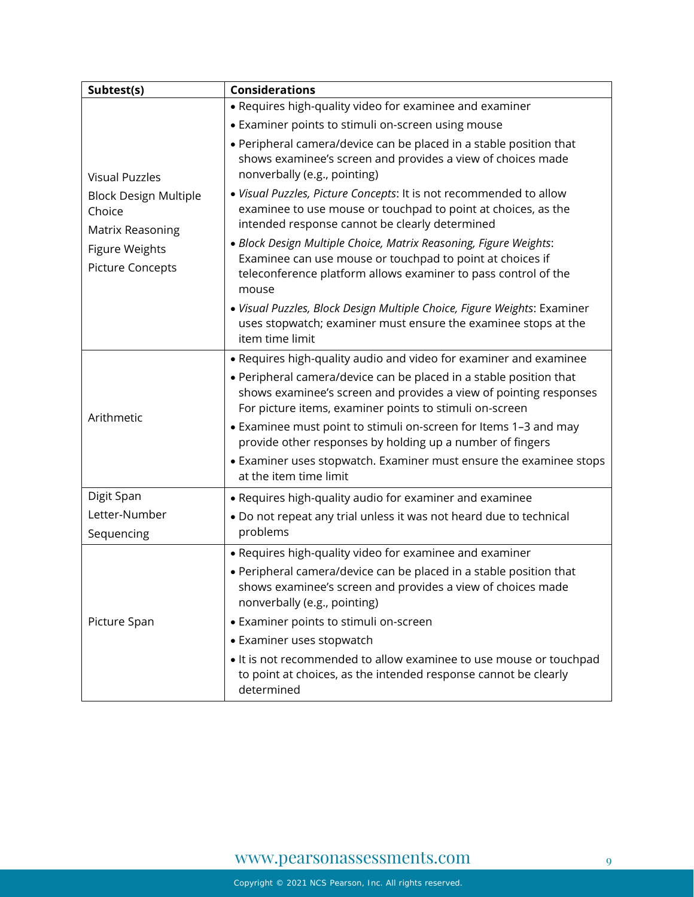| Subtest(s)                                                 | <b>Considerations</b>                                                                                                                                                                                                                   |  |  |
|------------------------------------------------------------|-----------------------------------------------------------------------------------------------------------------------------------------------------------------------------------------------------------------------------------------|--|--|
|                                                            | • Requires high-quality video for examinee and examiner                                                                                                                                                                                 |  |  |
| <b>Visual Puzzles</b>                                      | • Examiner points to stimuli on-screen using mouse                                                                                                                                                                                      |  |  |
|                                                            | • Peripheral camera/device can be placed in a stable position that<br>shows examinee's screen and provides a view of choices made<br>nonverbally (e.g., pointing)<br>. Visual Puzzles, Picture Concepts: It is not recommended to allow |  |  |
| <b>Block Design Multiple</b><br>Choice<br>Matrix Reasoning | examinee to use mouse or touchpad to point at choices, as the<br>intended response cannot be clearly determined                                                                                                                         |  |  |
| <b>Figure Weights</b><br><b>Picture Concepts</b>           | · Block Design Multiple Choice, Matrix Reasoning, Figure Weights:<br>Examinee can use mouse or touchpad to point at choices if<br>teleconference platform allows examiner to pass control of the<br>mouse                               |  |  |
|                                                            | · Visual Puzzles, Block Design Multiple Choice, Figure Weights: Examiner<br>uses stopwatch; examiner must ensure the examinee stops at the<br>item time limit                                                                           |  |  |
|                                                            | • Requires high-quality audio and video for examiner and examinee                                                                                                                                                                       |  |  |
| Arithmetic                                                 | • Peripheral camera/device can be placed in a stable position that<br>shows examinee's screen and provides a view of pointing responses<br>For picture items, examiner points to stimuli on-screen                                      |  |  |
|                                                            | • Examinee must point to stimuli on-screen for Items 1-3 and may<br>provide other responses by holding up a number of fingers                                                                                                           |  |  |
|                                                            | • Examiner uses stopwatch. Examiner must ensure the examinee stops<br>at the item time limit                                                                                                                                            |  |  |
| Digit Span                                                 | • Requires high-quality audio for examiner and examinee                                                                                                                                                                                 |  |  |
| Letter-Number                                              | . Do not repeat any trial unless it was not heard due to technical                                                                                                                                                                      |  |  |
| Sequencing                                                 | problems                                                                                                                                                                                                                                |  |  |
| Picture Span                                               | • Requires high-quality video for examinee and examiner<br>• Peripheral camera/device can be placed in a stable position that<br>shows examinee's screen and provides a view of choices made<br>nonverbally (e.g., pointing)            |  |  |
|                                                            | • Examiner points to stimuli on-screen                                                                                                                                                                                                  |  |  |
|                                                            | • Examiner uses stopwatch                                                                                                                                                                                                               |  |  |
|                                                            | • It is not recommended to allow examinee to use mouse or touchpad<br>to point at choices, as the intended response cannot be clearly<br>determined                                                                                     |  |  |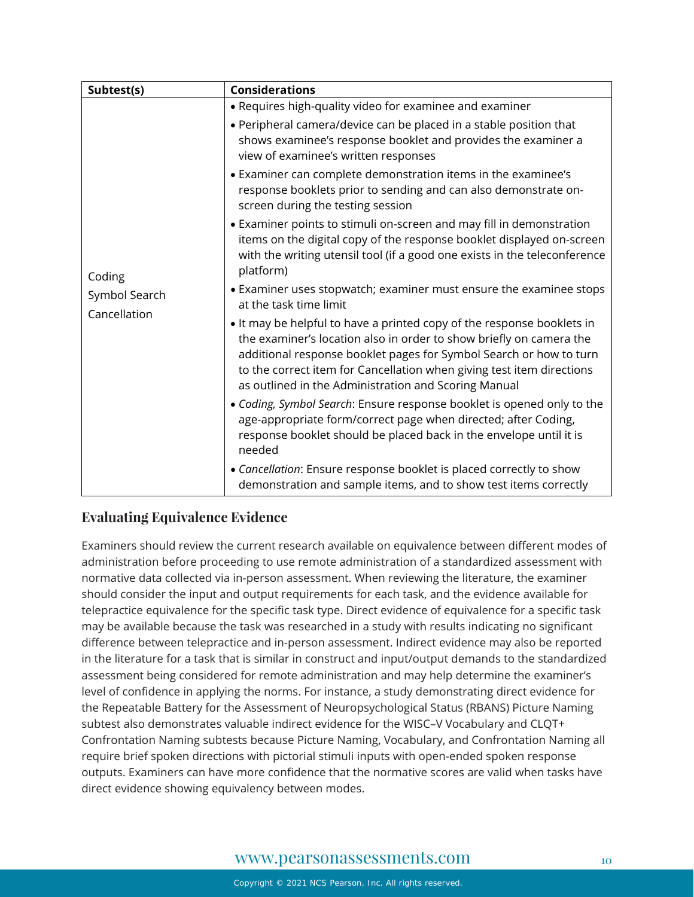| Subtest(s)                              | <b>Considerations</b>                                                                                                                                                                                                                                                                                                                                |  |  |
|-----------------------------------------|------------------------------------------------------------------------------------------------------------------------------------------------------------------------------------------------------------------------------------------------------------------------------------------------------------------------------------------------------|--|--|
| Coding<br>Symbol Search<br>Cancellation | • Requires high-quality video for examinee and examiner                                                                                                                                                                                                                                                                                              |  |  |
|                                         | • Peripheral camera/device can be placed in a stable position that<br>shows examinee's response booklet and provides the examiner a<br>view of examinee's written responses                                                                                                                                                                          |  |  |
|                                         | • Examiner can complete demonstration items in the examinee's<br>response booklets prior to sending and can also demonstrate on-<br>screen during the testing session                                                                                                                                                                                |  |  |
|                                         | • Examiner points to stimuli on-screen and may fill in demonstration<br>items on the digital copy of the response booklet displayed on-screen<br>with the writing utensil tool (if a good one exists in the teleconference<br>platform)                                                                                                              |  |  |
|                                         | • Examiner uses stopwatch; examiner must ensure the examinee stops<br>at the task time limit                                                                                                                                                                                                                                                         |  |  |
|                                         | • It may be helpful to have a printed copy of the response booklets in<br>the examiner's location also in order to show briefly on camera the<br>additional response booklet pages for Symbol Search or how to turn<br>to the correct item for Cancellation when giving test item directions<br>as outlined in the Administration and Scoring Manual |  |  |
|                                         | . Coding, Symbol Search: Ensure response booklet is opened only to the<br>age-appropriate form/correct page when directed; after Coding,<br>response booklet should be placed back in the envelope until it is<br>needed                                                                                                                             |  |  |
|                                         | • Cancellation: Ensure response booklet is placed correctly to show<br>demonstration and sample items, and to show test items correctly                                                                                                                                                                                                              |  |  |

### **Evaluating Equivalence Evidence**

Examiners should review the current research available on equivalence between different modes of administration before proceeding to use remote administration of a standardized assessment with normative data collected via in-person assessment. When reviewing the literature, the examiner should consider the input and output requirements for each task, and the evidence available for telepractice equivalence for the specific task type. Direct evidence of equivalence for a specific task may be available because the task was researched in a study with results indicating no significant difference between telepractice and in-person assessment. Indirect evidence may also be reported in the literature for a task that is similar in construct and input/output demands to the standardized assessment being considered for remote administration and may help determine the examiner's level of confidence in applying the norms. For instance, a study demonstrating direct evidence for the Repeatable Battery for the Assessment of Neuropsychological Status (RBANS) Picture Naming subtest also demonstrates valuable indirect evidence for the WISC–V Vocabulary and CLQT+ Confrontation Naming subtests because Picture Naming, Vocabulary, and Confrontation Naming all require brief spoken directions with pictorial stimuli inputs with open-ended spoken response outputs. Examiners can have more confidence that the normative scores are valid when tasks have direct evidence showing equivalency between modes.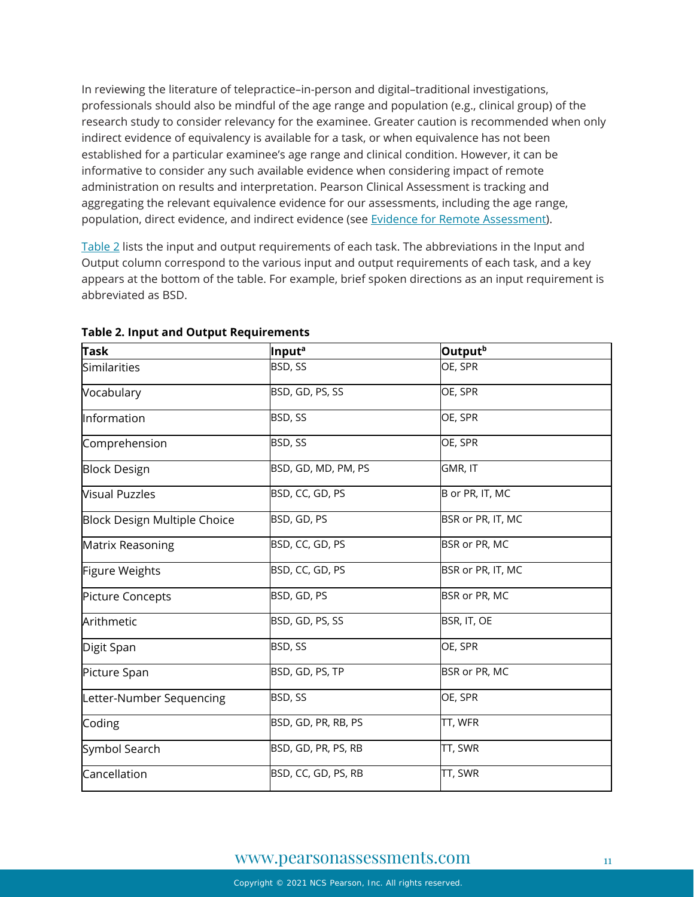In reviewing the literature of telepractice–in-person and digital–traditional investigations, professionals should also be mindful of the age range and population (e.g., clinical group) of the research study to consider relevancy for the examinee. Greater caution is recommended when only indirect evidence of equivalency is available for a task, or when equivalence has not been established for a particular examinee's age range and clinical condition. However, it can be informative to consider any such available evidence when considering impact of remote administration on results and interpretation. Pearson Clinical Assessment is tracking and aggregating the relevant equivalence evidence for our assessments, including the age range, population, direct evidence, and indirect evidence (see [Evidence for Remote Assessment\)](https://www.pearsonassessments.com/content/dam/school/global/clinical/us/assets/telepractice/equivalence-evidence-for-remote-assessment.pdf).

[Table 2](#page-10-0) lists the input and output requirements of each task. The abbreviations in the Input and Output column correspond to the various input and output requirements of each task, and a key appears at the bottom of the table. For example, brief spoken directions as an input requirement is abbreviated as BSD.

| <b>Task</b>                         | <b>Input<sup>a</sup></b> | Output <sup>b</sup> |
|-------------------------------------|--------------------------|---------------------|
| Similarities                        | BSD, SS                  | OE, SPR             |
| Vocabulary                          | BSD, GD, PS, SS          | OE, SPR             |
| Information                         | BSD, SS                  | OE, SPR             |
| Comprehension                       | BSD, SS                  | OE, SPR             |
| <b>Block Design</b>                 | BSD, GD, MD, PM, PS      | GMR, IT             |
| <b>Visual Puzzles</b>               | BSD, CC, GD, PS          | B or PR, IT, MC     |
| <b>Block Design Multiple Choice</b> | BSD, GD, PS              | BSR or PR, IT, MC   |
| Matrix Reasoning                    | BSD, CC, GD, PS          | BSR or PR, MC       |
| Figure Weights                      | BSD, CC, GD, PS          | BSR or PR, IT, MC   |
| Picture Concepts                    | BSD, GD, PS              | BSR or PR, MC       |
| Arithmetic                          | BSD, GD, PS, SS          | BSR, IT, OE         |
| Digit Span                          | BSD, SS                  | OE, SPR             |
| Picture Span                        | BSD, GD, PS, TP          | BSR or PR, MC       |
| Letter-Number Sequencing            | BSD, SS                  | OE, SPR             |
| Coding                              | BSD, GD, PR, RB, PS      | TT, WFR             |
| Symbol Search                       | BSD, GD, PR, PS, RB      | TT, SWR             |
| Cancellation                        | BSD, CC, GD, PS, RB      | TT, SWR             |

#### <span id="page-10-0"></span>**Table 2. Input and Output Requirements**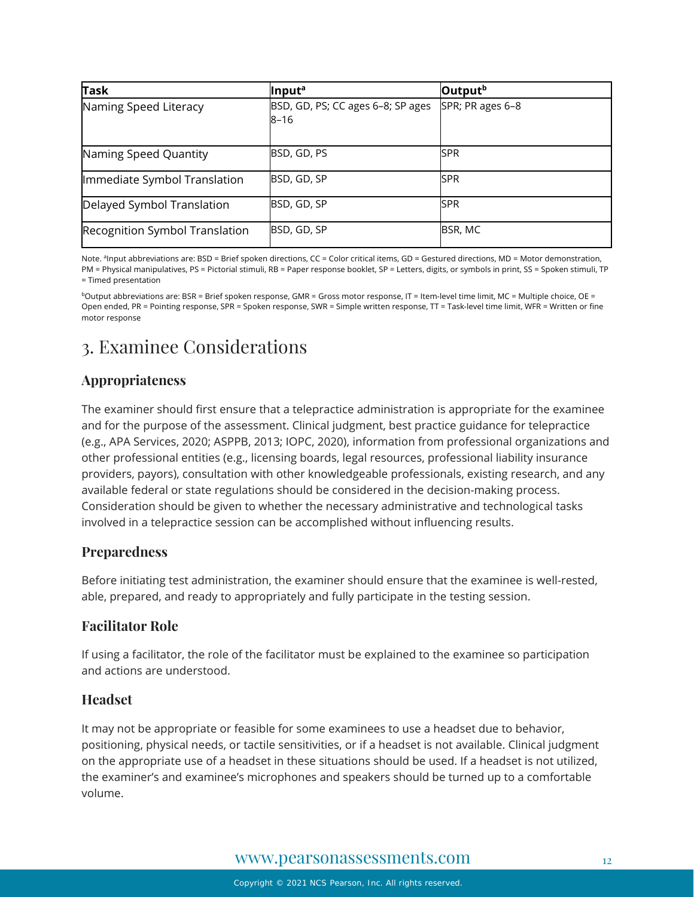| <b>Task</b>                    | Input <sup>a</sup>                        | Output <sup>b</sup> |
|--------------------------------|-------------------------------------------|---------------------|
| Naming Speed Literacy          | BSD, GD, PS; CC ages 6-8; SP ages<br>8–16 | SPR; PR ages 6-8    |
| Naming Speed Quantity          | BSD, GD, PS                               | <b>SPR</b>          |
| Immediate Symbol Translation   | BSD, GD, SP                               | <b>SPR</b>          |
| Delayed Symbol Translation     | BSD, GD, SP                               | <b>ISPR</b>         |
| Recognition Symbol Translation | BSD, GD, SP                               | BSR, MC             |

Note. <sup>a</sup>Input abbreviations are: BSD = Brief spoken directions, CC = Color critical items, GD = Gestured directions, MD = Motor demonstration, PM = Physical manipulatives, PS = Pictorial stimuli, RB = Paper response booklet, SP = Letters, digits, or symbols in print, SS = Spoken stimuli, TP = Timed presentation

 $b$ Output abbreviations are: BSR = Brief spoken response, GMR = Gross motor response, IT = Item-level time limit, MC = Multiple choice, OE = Open ended, PR = Pointing response, SPR = Spoken response, SWR = Simple written response, TT = Task-level time limit, WFR = Written or fine motor response

# <span id="page-11-0"></span>3. Examinee Considerations

### **Appropriateness**

The examiner should first ensure that a telepractice administration is appropriate for the examinee and for the purpose of the assessment. Clinical judgment, best practice guidance for telepractice (e.g., APA Services, 2020; ASPPB, 2013; IOPC, 2020), information from professional organizations and other professional entities (e.g., licensing boards, legal resources, professional liability insurance providers, payors), consultation with other knowledgeable professionals, existing research, and any available federal or state regulations should be considered in the decision-making process. Consideration should be given to whether the necessary administrative and technological tasks involved in a telepractice session can be accomplished without influencing results.

### **Preparedness**

Before initiating test administration, the examiner should ensure that the examinee is well-rested, able, prepared, and ready to appropriately and fully participate in the testing session.

### **Facilitator Role**

If using a facilitator, the role of the facilitator must be explained to the examinee so participation and actions are understood.

### **Headset**

It may not be appropriate or feasible for some examinees to use a headset due to behavior, positioning, physical needs, or tactile sensitivities, or if a headset is not available. Clinical judgment on the appropriate use of a headset in these situations should be used. If a headset is not utilized, the examiner's and examinee's microphones and speakers should be turned up to a comfortable volume.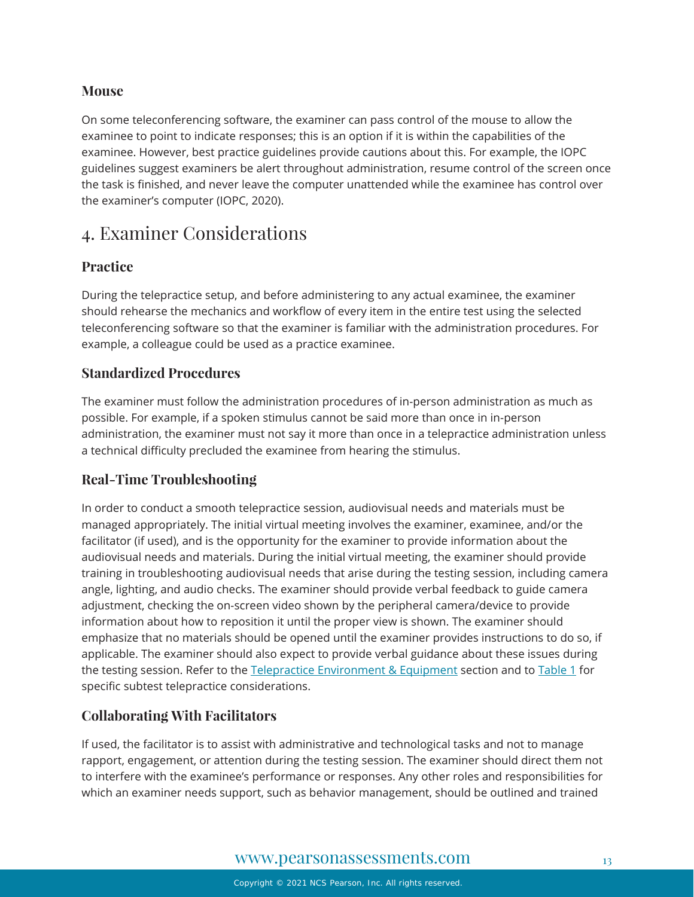### **Mouse**

On some teleconferencing software, the examiner can pass control of the mouse to allow the examinee to point to indicate responses; this is an option if it is within the capabilities of the examinee. However, best practice guidelines provide cautions about this. For example, the IOPC guidelines suggest examiners be alert throughout administration, resume control of the screen once the task is finished, and never leave the computer unattended while the examinee has control over the examiner's computer (IOPC, 2020).

# <span id="page-12-0"></span>4. Examiner Considerations

### **Practice**

During the telepractice setup, and before administering to any actual examinee, the examiner should rehearse the mechanics and workflow of every item in the entire test using the selected teleconferencing software so that the examiner is familiar with the administration procedures. For example, a colleague could be used as a practice examinee.

### **Standardized Procedures**

The examiner must follow the administration procedures of in-person administration as much as possible. For example, if a spoken stimulus cannot be said more than once in in-person administration, the examiner must not say it more than once in a telepractice administration unless a technical difficulty precluded the examinee from hearing the stimulus.

### **Real-Time Troubleshooting**

In order to conduct a smooth telepractice session, audiovisual needs and materials must be managed appropriately. The initial virtual meeting involves the examiner, examinee, and/or the facilitator (if used), and is the opportunity for the examiner to provide information about the audiovisual needs and materials. During the initial virtual meeting, the examiner should provide training in troubleshooting audiovisual needs that arise during the testing session, including camera angle, lighting, and audio checks. The examiner should provide verbal feedback to guide camera adjustment, checking the on-screen video shown by the peripheral camera/device to provide information about how to reposition it until the proper view is shown. The examiner should emphasize that no materials should be opened until the examiner provides instructions to do so, if applicable. The examiner should also expect to provide verbal guidance about these issues during the testing session. Refer to the [Telepractice Environment & Equipment](#page-2-0) section and to [Table 1](#page-7-0) for specific subtest telepractice considerations.

### **Collaborating With Facilitators**

If used, the facilitator is to assist with administrative and technological tasks and not to manage rapport, engagement, or attention during the testing session. The examiner should direct them not to interfere with the examinee's performance or responses. Any other roles and responsibilities for which an examiner needs support, such as behavior management, should be outlined and trained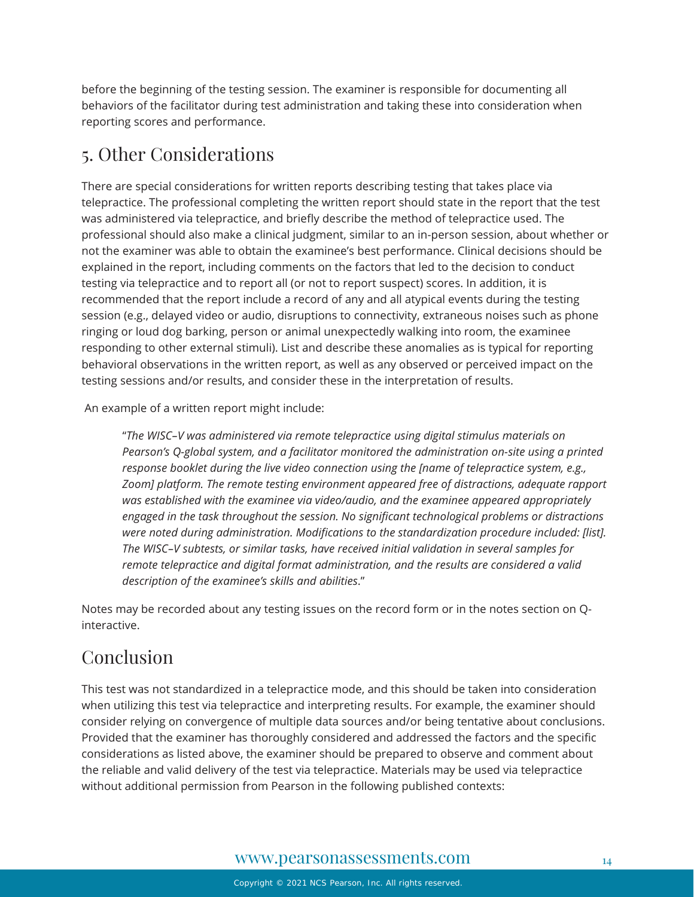before the beginning of the testing session. The examiner is responsible for documenting all behaviors of the facilitator during test administration and taking these into consideration when reporting scores and performance.

# <span id="page-13-0"></span>5. Other Considerations

There are special considerations for written reports describing testing that takes place via telepractice. The professional completing the written report should state in the report that the test was administered via telepractice, and briefly describe the method of telepractice used. The professional should also make a clinical judgment, similar to an in-person session, about whether or not the examiner was able to obtain the examinee's best performance. Clinical decisions should be explained in the report, including comments on the factors that led to the decision to conduct testing via telepractice and to report all (or not to report suspect) scores. In addition, it is recommended that the report include a record of any and all atypical events during the testing session (e.g., delayed video or audio, disruptions to connectivity, extraneous noises such as phone ringing or loud dog barking, person or animal unexpectedly walking into room, the examinee responding to other external stimuli). List and describe these anomalies as is typical for reporting behavioral observations in the written report, as well as any observed or perceived impact on the testing sessions and/or results, and consider these in the interpretation of results.

An example of a written report might include:

"*The WISC–V was administered via remote telepractice using digital stimulus materials on Pearson's Q-global system, and a facilitator monitored the administration on-site using a printed response booklet during the live video connection using the [name of telepractice system, e.g., Zoom] platform. The remote testing environment appeared free of distractions, adequate rapport was established with the examinee via video/audio, and the examinee appeared appropriately engaged in the task throughout the session. No significant technological problems or distractions were noted during administration. Modifications to the standardization procedure included: [list]. The WISC–V subtests, or similar tasks, have received initial validation in several samples for remote telepractice and digital format administration, and the results are considered a valid description of the examinee's skills and abilities*."

Notes may be recorded about any testing issues on the record form or in the notes section on Qinteractive.

# Conclusion

This test was not standardized in a telepractice mode, and this should be taken into consideration when utilizing this test via telepractice and interpreting results. For example, the examiner should consider relying on convergence of multiple data sources and/or being tentative about conclusions. Provided that the examiner has thoroughly considered and addressed the factors and the specific considerations as listed above, the examiner should be prepared to observe and comment about the reliable and valid delivery of the test via telepractice. Materials may be used via telepractice without additional permission from Pearson in the following published contexts: